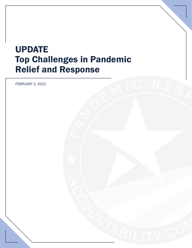# UPDATE Top Challenges in Pandemic Relief and Response

A N IC REST

FEBRUARY 3, 2021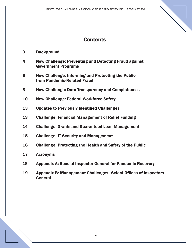| <b>Contents</b> |                                                                                            |
|-----------------|--------------------------------------------------------------------------------------------|
| 3               | <b>Background</b>                                                                          |
| 4               | <b>New Challenge: Preventing and Detecting Fraud against</b><br><b>Government Programs</b> |
| 6               | New Challenge: Informing and Protecting the Public<br>from Pandemic-Related Fraud          |
| 8               | <b>New Challenge: Data Transparency and Completeness</b>                                   |
| 10              | <b>New Challenge: Federal Workforce Safety</b>                                             |
| 13              | <b>Updates to Previously Identified Challenges</b>                                         |
| 13              | <b>Challenge: Financial Management of Relief Funding</b>                                   |
| 14              | <b>Challenge: Grants and Guaranteed Loan Management</b>                                    |
| 15              | <b>Challenge: IT Security and Management</b>                                               |
| 16              | <b>Challenge: Protecting the Health and Safety of the Public</b>                           |
| 17              | <b>Acronyms</b>                                                                            |
| 18              | <b>Appendix A: Special Inspector General for Pandemic Recovery</b>                         |
| 19              | <b>Appendix B: Management Challenges–Select Offices of Inspectors</b>                      |

General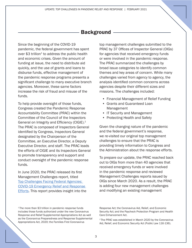### **Background**

<span id="page-2-0"></span>Since the beginning of the COVID-19 pandemic, the federal government has spent over  $$3$  trillion<sup>1</sup> to address the public health and economic crises. Given the amount of funding at issue, the need to distribute aid quickly, and the use of grants and loans to disburse funds, effective management of the pandemic response programs presents a significant challenge to many executive branch agencies. Moreover, these same factors increase the risk of fraud and misuse of the funds.

To help provide oversight of those funds, Congress created the Pandemic Response Accountability Committee (PRAC) within the Committee of the Council of the Inspectors General on Integrity and Efficiency (CIGIE).<sup>2</sup> The PRAC is composed of Inspectors General identified by Congress, Inspectors General designated by the Chairperson of the Committee, an Executive Director, a Deputy Executive Director, and staff. The PRAC leads the efforts of CIGIE and its Inspectors General to promote transparency and support and conduct oversight of the pandemic response funds.

In June 2020, the PRAC released its first Management Challenges report, titled Top Challenges Facing Federal Agencies: [COVID-19 Emergency Relief and Response](https://www.oversight.gov/sites/default/files/oig-reports/Top%20Challenges%20Facing%20Federal%20Agencies%20-%20COVID-19%20Emergency%20Relief%20and%20Response%20Efforts_1.pdf)  [Efforts](https://www.oversight.gov/sites/default/files/oig-reports/Top%20Challenges%20Facing%20Federal%20Agencies%20-%20COVID-19%20Emergency%20Relief%20and%20Response%20Efforts_1.pdf). This report provides insight into the top management challenges submitted to the PRAC by 37 Offices of Inspector General (OIGs) for agencies that received emergency funds or were involved in the pandemic response. The PRAC summarized the challenges by broad issue categories to identify common themes and key areas of concern. While many challenges varied from agency to agency, the analysis identified common concerns across agencies despite their different sizes and missions. The challenges included:

- Financial Management of Relief Funding
- Grants and Guaranteed Loan Management
- IT Security and Management
- Protecting Health and Safety

Given the changing nature of the pandemic and the federal government's response, we re-visited our original top management challenges to ensure that the PRAC is providing timely information to Congress and the Administration about the response efforts.

To prepare our update, the PRAC reached back out to OIGs from more than 40 agencies that received emergency funds or were involved in the pandemic response and reviewed Management Challenges reports issued by OIGs since March 2020. As a result, the PRAC is adding four new management challenges and modifying an existing management

<sup>1</sup>The more than \$3 trillion in pandemic response funds includes those funds authorized under the new Coronavirus Response and Relief Supplemental Appropriations Act as well as the Coronavirus Preparedness and Response Supplemental Appropriations Act, 2020; the Families First Coronavirus

Response Act; the Coronavirus Aid, Relief, and Economic Security Act; and the Paycheck Protection Program and Health Care Enhancement Act.

<sup>2</sup> The PRAC was established in March 2020 by the Coronavirus Aid, Relief, and Economic Security Act (Public Law 116-136).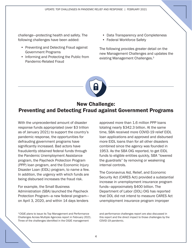<span id="page-3-0"></span>challenge—protecting health and safety. The following challenges have been added:

- Preventing and Detecting Fraud against Government Programs
- Informing and Protecting the Public from Pandemic-Related Fraud
- Data Transparency and Completeness
- Federal Workforce Safety

The following provides greater detail on the new Management Challenges and updates the existing Management Challenges.<sup>3</sup>



### New Challenge: Preventing and Detecting Fraud against Government Programs

With the unprecedented amount of disaster response funds appropriated (over \$3 trillion as of January 2021) to support the country's pandemic response, the opportunities for defrauding government programs have significantly increased. Bad actors have fraudulently obtained federal funds through the Pandemic Unemployment Assistance program, the Paycheck Protection Program (PPP) loan program, and the Economic Injury Disaster Loan (EIDL) program, to name a few. In addition, the urgency with which funds are being disbursed increases the fraud risk.

#### For example, the Small Business Administration (SBA) launched the Paycheck Protection Program—a new federal program on April 3, 2020, and within 14 days lenders

<sup>3</sup> CIGIE plans to issue its Top Management and Performance Challenges Across Multiple Agencies report in February 2021. Three of the challenges identified in the CIGIE management

approved more than 1.6 million PPP loans totaling nearly \$342.3 billion. At the same time, SBA received more COVID-19 relief EIDL loan applications and approved and disbursed more EIDL loans than for all other disasters combined since the agency was founded in 1953. As the SBA OIG reported, to get EIDL funds to eligible entities quickly, SBA "lowered the guardrails" by removing or weakening internal controls.

The Coronavirus Aid, Relief, and Economic Security Act (CARES Act) provided a substantial increase in unemployment insurance program funds—approximately \$400 billion. The Department of Labor (DOL) OIG has reported that DOL did not intend to measure CARES Act unemployment insurance program improper

and performance challenges report are also discussed in this report and the direct impact to those challenges by the COVID-19 pandemic.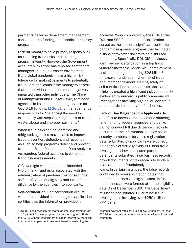payments because department management considered the funding an episodic, temporary program.

Federal managers have primary responsibility for reducing fraud risks and ensuring program integrity. However, the Government Accountability Office has reported that federal managers, in a post-disaster environment like a global pandemic, have a higher risk tolerance for making payments to potentially fraudulent applicants if the managers assess that the individual has been more negatively impacted than other individuals. The Office of Management and Budget (OMB) reminded agencies in its implementation guidance for COVID-19 funding, [M-20-21,](https://www.whitehouse.gov/wp-content/uploads/2020/04/Implementation-Guidance-for-Supplemental-Funding-Provided-in-Response.pdf) of management's responsibility for "balancing the need for expediency with steps to mitigate risk of fraud, waste, abuse and improper payments"

When fraud risks can be identified and mitigated, agencies may be able to improve fraud prevention, detection, and response. As such, to help programs detect and prevent fraud, the Fraud Reduction and Data Analytics Act requires federal agencies to complete fraud risk assessments.

OIG oversight work to date has identified two primary fraud risks associated with the administration of pandemic response funds: self-certification of eligibility and lack of due diligence by the agencies into applicants.

**Self-certification.** Self-certification occurs when the individual completing the application certifies that the information provided is

accurate. Work completed by the OIGs at the DOL and SBA found that self-certification served as the sole or a significant control for pandemic response programs that facilitated billions of taxpayer dollars to be disbursed improperly. Specifically, DOL OIG previously identified self-certification as a top fraud vulnerability for the pandemic unemployment assistance program, putting \$26 billion4 in taxpayer funds at a higher risk of fraud and improper payment. Relying solely on self-certification to demonstrate applicants' eligibility created a high fraud risk vulnerability, evidenced by numerous publicly announced investigations involving high-dollar loan fraud and multi-victim identity theft schemes.

Lack of Due Diligence into Applicants. In an effort to increase the speed of disbursing relief funding, federal agencies and banks did not conduct full due diligence checks to ensure that the information, such as social security numbers or business registration date, submitted by applicants were correct. An analysis of virtually every PPP loan fraud investigation shows the same pattern: the defendants submitted false business records, payroll documents, or tax records to lenders in an attempt to fraudulently obtain the loans. In certain instances, the false records contained business formation dates that made the businesses eligible when, in fact, the businesses were formed after the eligibility date. As of December 2020, the Department of Justice had initiated 66 criminal fraud investigations involving over \$250 million in PPP loans.

improper payment rate continues above 10 percent, at least \$26 billion in expanded unemployment benefits could be paid improperly.

<sup>4</sup> DOL OIG has previously estimated an improper payment rate of 10 percent for unemployment insurance programs. Under the CARES Act, the Department of Labor received \$260 billion to expand unemployment insurance benefits. Assuming the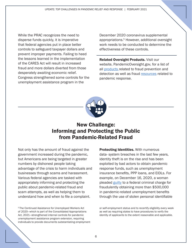<span id="page-5-0"></span>While the PRAC recognizes the need to disperse funds quickly, it is imperative that federal agencies put in place better controls to safeguard taxpayer dollars and prevent improper payments. Failing to heed the lessons learned in the implementation of the CARES Act will result in increased fraud and more dollars diverted from those desperately awaiting economic relief. Congress strengthened some controls for the unemployment assistance program in the

December 2020 coronavirus supplemental appropriations.5 However, additional oversight work needs to be conducted to determine the effectiveness of these controls.

**Related Oversight Products. Visit our** website, PandemicOversight.gov, for a list of all [products](https://www.pandemicoversight.gov/oversight/reports) related to fraud prevention and detection as well as fraud [resources](https://www.pandemicoversight.gov/faq-resources/resources) related to pandemic response.



# New Challenge: Informing and Protecting the Public from Pandemic-Related Fraud

Not only has the amount of fraud against the government increased during the pandemic, but Americans are being targeted in greater numbers by dishonest people taking advantage of the crisis to harm individuals and businesses through scams and harassment. Various federal agencies are tasked with appropriately informing and protecting the public about pandemic-related fraud and scam attempts, as well as helping them to understand how and when to file a complaint.

5 The Continued Assistance for Unemployed Workers Act of 2020—which is part of the Consolidated Appropriations Act, 2021—strengthened internal controls for pandemic unemployment assistance program extension, requiring individuals to provide documents substantiating employment

Protecting Identities. With numerous data- system breaches in the last few years, identity theft is on the rise and has been exploited by bad actors to obtain pandemic response funds, such as unemployment insurance benefits, PPP loans, and EIDLs. For example, on December 16, 2020, a woman pleaded [guilty](https://www.justice.gov/usao-cdca/pr/menifee-woman-pleads-guilty-federal-criminal-charge-fraudulently-obtaining-over-500000) to a federal criminal charge for fraudulently obtaining more than \$500,000 in pandemic-related unemployment benefits through the use of stolen personal identifiable

or self-employment status and to recertify eligibility every week as well as requiring states to have procedures to verify the identity of applicants to the extent reasonable and applicable.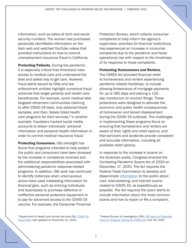information, such as dates of birth and social security numbers. The woman had purchased personally identifiable information on the dark web and watched YouTube videos that provided instructions on how to commit unemployment insurance fraud in California.

Protecting Patients. During the pandemic, it is especially critical that Americans have access to medical care and understand the best and safest way to get care. However, fraud alerts issued by OIGs and law enforcement entities highlight numerous fraud schemes that target patients and health care beneficiaries. For example, some medical labs targeted retirement communities claiming to offer COVID-19 tests, only obtained blood samples, and then, falsely billed health care programs for their services.<sup>6</sup> In another example, fraudsters hacked social media accounts to obtain individuals' personal information and personal health information in order to commit medical insurance fraud.<sup>7</sup>

**Protecting Consumers. OIG oversight has** found that programs intended to help protect the public and consumers have been stressed by the increase in complaints received and the additional responsibilities associated with administering pandemic response-related programs. In addition, OIG work has continued to identify instances when unscrupulous actors have used misleading information for financial gain, such as enticing individuals and businesses to purchase defective or ineffective personal protective equipment or to pay for advanced access to the COVID-19 vaccine. For example, the Consumer Financial

Protection Bureau, which collects consumer complaints to help inform the agency's supervision activities for financial institutions, has experienced an increase in consumer complaints due to the pandemic and faces operational risk with respect to the timeliness of its response to those complaints.

#### Protecting Homeowners and Renters.

The CARES Act provided financial relief to homeowners and renters experiencing pandemic-related hardships, to include allowing forbearance of mortgage payments for up to 360 days and placing a 120 day moratorium on eviction filings. These protections were designed to alleviate the economic and public health consequences of homeowner and tenant displacement during the COVID-19 outbreak. The challenges in implementing these programs focus on ensuring that homeowners and renters are aware of their rights and relief options, and that servicers and landlords provide consistent and accurate information, including all available relief options.

In response to the increase in scams on the American public, Congress enacted the Combating Pandemic Scams Act of 2020 on December 17, 2020. The Act requires the Federal Trade Commission to develop and disseminate [information](https://www.ftc.gov/coronavirus) to the public about mail, telemarketing, and internet scams related to COVID-19, as expeditiously as possible. The Act requires the scam alerts to include information about the most common scams and how to report or file a complaint.

6 Department of Health and Human Services OIG, *[COVID-19](https://oig.hhs.gov/coronavirus/fraud-alert-covid19.asp?utm_source=web&utm_medium=web&utm_campaign=covid19-fraud-alert)  [Fraud Alert](https://oig.hhs.gov/coronavirus/fraud-alert-covid19.asp?utm_source=web&utm_medium=web&utm_campaign=covid19-fraud-alert)*, last updated on December 21, 2020.

7 Federal Bureau of Investigation (FBI), *[FBI Warns of Potential](https://www.fbi.gov/news/pressrel/press-releases/fbi-warns-of-potential-fraud-in-antibody-testing-for-covid-19)  [Fraud in Antibody Testing for COVID-19](https://www.fbi.gov/news/pressrel/press-releases/fbi-warns-of-potential-fraud-in-antibody-testing-for-covid-19)*, June 26, 2020.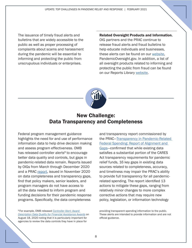UPDATE: TOP CHALLENGES IN PANDEMIC RELIEF AND RESPONSE | FEBRUARY 2021

<span id="page-7-0"></span>The issuance of timely fraud alerts and bulletins that are widely accessible to the public as well as proper processing of complaints about scams and harassment during the pandemic will be essential to informing and protecting the public from unscrupulous individuals or enterprises.

#### Related Oversight Products and Information.

OIG partners and the PRAC continue to release fraud alerts and fraud bulletins to help educate individuals and businesses. these alerts can be found on our [website](https://www.pandemicoversight.gov/faq-resources/resources), PandemicOversight.gov. In addition, a list of all oversight products related to informing and protecting the public from fraud can be found on our Reports Library [website.](https://www.pandemicoversight.gov/oversight/reports?f%5B0%5D=report_type_taxonomy%3A76)



### New Challenge: Data Transparency and Completeness

Federal program management guidance highlights the need for and use of performance information data to help drive decision making and assess program effectiveness. OMB has released controller alerts<sup>8</sup> to encourage better data quality and controls, but gaps in pandemic-related data remain. Reports issued by OIGs from March through December 2020 and a PRAC [report,](https://www.pandemicoversight.gov/our-mission/publications-reports/gaps-in-cares-act-and-how-to-close-them) issued in November 2020 on data completeness and transparency gaps, find that policy makers, senior leaders, and program managers do not have access to all the data needed to inform program and funding decisions for their pandemic response programs. Specifically, the data completeness

<sup>8</sup>For example, OMB released *[Controller Alert: Award](https://www.treasury.gov/about/organizational-structure/ig/Audit%20Reports%20and%20Testimonies/CONTROLLER%20ALERT%20AUGUST%202020.pdf)  [Description Data Quality for Financial Assistance Awards](https://www.treasury.gov/about/organizational-structure/ig/Audit%20Reports%20and%20Testimonies/CONTROLLER%20ALERT%20AUGUST%202020.pdf)* on August 18, 2020 noting that it is particularly important for agencies to review the data controls they have in place for

and transparency report commissioned by the PRAC[—Transparency in Pandemic-Related](https://www.pandemicoversight.gov/our-mission/publications-reports/gaps-in-cares-act-and-how-to-close-them)  [Federal Spending: Report of Alignment and](https://www.pandemicoversight.gov/our-mission/publications-reports/gaps-in-cares-act-and-how-to-close-them)  [Gaps](https://www.pandemicoversight.gov/our-mission/publications-reports/gaps-in-cares-act-and-how-to-close-them)—confirmed that while existing data satisfies a substantial portion of the CARES Act transparency requirements for pandemic relief funds, 16 key gaps in existing data sources related to completeness, accuracy, and timeliness may impair the PRAC's ability to provide full transparency for all pandemicrelated spending. The report identified 13 actions to mitigate these gaps, ranging from relatively minor changes to more complex corrective actions that may require new policy, legislation, or information technology

providing transparent spending information to the public. These alerts are intended to provide information and are not official guidance.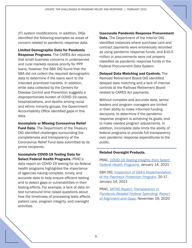(IT) system modifications. In addition, OIGs identified the following examples as areas of concern related to pandemic response data.

Limited Demographic Data for Pandemic **Response Programs.** The CARES Act requires that small business concerns in underserved and rural markets receive priority for PPP loans; however, the SBA OIG found that the SBA did not collect the required demographic data to determine if the loans went to the intended prioritized markets. In addition, while data collected by the Centers for Disease Control and Prevention suggests a disproportionate burden of COVID-19 cases, hospitalizations, and deaths among racial and ethnic minority groups, the Government Accountability Office identified gaps in this data.

Incomplete or Missing Coronavirus Relief **Fund Data.** The Department of the Treasury OIG identified challenges surrounding the completeness and transparency of the Coronavirus Relief Fund data submitted by its prime recipients.

Incomplete COVID-19 Testing Data for Select Federal Health Programs. PRAC's data report on COVID-19 testing for six federal health programs highlighted the importance of agencies having complete, timely, and accurate data to help ensure efficient testing and to detect gaps or vulnerabilities in their testing efforts. For example, a lack of data on test turnaround time raised questions about how the timeliness of processing tests affects patient care, program integrity, and oversight activities.

#### Inaccurate Pandemic Response Procurement

**Data.** The Department of the Interior OIG identified instances where purchase card and contract payments were erroneously recorded as using pandemic response funds, and \$10.5 million in procurements were not properly classified as pandemic response funds in the Federal Procurement Data System.

Delayed Data Matching and Controls. The Railroad Retirement Board OIG identified delayed data matching and a lack of internal controls at the Railroad Retirement Board related to CARES Act payments.

Without complete and accurate data, senior leaders and program managers are limited in their ability to make informed funding decisions, to determine if the pandemic response program is achieving its goals, and to make needed program adjustments. In addition, incomplete data limits the ability of federal programs to provide full transparency over pandemic response expenditures to the public.

#### Related Oversight Products.

PRAC, *[COVID-19 Testing Insights from Select](https://www.oversight.gov/sites/default/files/oig-reports/PRAC/Federal-COVID-19-Testing-Report.pdf)  [Federal Health Programs](https://www.oversight.gov/sites/default/files/oig-reports/PRAC/Federal-COVID-19-Testing-Report.pdf)*, January 14, 2021

SBA OIG, *[Inspection of SBA's Implementation](https://www.sba.gov/sites/default/files/2021-01/SBA%20OIG%20Report-21-07.pdf)  [of the Paycheck Protection Program](https://www.sba.gov/sites/default/files/2021-01/SBA%20OIG%20Report-21-07.pdf)*, 20-17, January 14, 2021

PRAC, *[MITRE Report: Transparency in](https://www.pandemicoversight.gov/sites/default/files/2020-11/Executive%20Summary%20and%20Cover%20Letter%20on%20Transparency%20in%20Pandemic-Related%20Federal%20Spending%2011-20.pdf)  [Pandemic-Related Federal Spending: Report](https://www.pandemicoversight.gov/sites/default/files/2020-11/Executive%20Summary%20and%20Cover%20Letter%20on%20Transparency%20in%20Pandemic-Related%20Federal%20Spending%2011-20.pdf)  [of Alignment and Gaps](https://www.pandemicoversight.gov/sites/default/files/2020-11/Executive%20Summary%20and%20Cover%20Letter%20on%20Transparency%20in%20Pandemic-Related%20Federal%20Spending%2011-20.pdf)*, November 19, 2020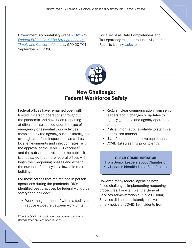<span id="page-9-0"></span>Government Accountability Office, *[COVID-19:](https://www.gao.gov/reports/GAO-20-701/)  [Federal Efforts Could Be Strengthened by](https://www.gao.gov/reports/GAO-20-701/)  [Timely and Concerted Actions](https://www.gao.gov/reports/GAO-20-701/)*, GAO-20-701, September 21, 2020.

For a list of all Data Completeness and Transparency related products, visit our Reports Library [website](https://www.pandemicoversight.gov/oversight/reports?f%5B0%5D=report_type_taxonomy%3A76).



### New Challenge: Federal Workforce Safety

Federal offices have remained open with limited in-person operations throughout the pandemic and have been reopening at different rates based upon the type of emergency or essential work activities completed by the agency, such as intelligence oversight and food inspections, as well as local environments and infection rates. With the approval of the COVID-19 vaccines $9$ and the subsequent rollout to the public, it is anticipated that more federal offices will begin their reopening phases and expand the number of employees allowed in their buildings.

For those offices that maintained in-person operations during the pandemic, OIGs identified best practices for federal workforce safety that included:

• Work "neighborhoods" within a facility to reduce exposure between work units.

<sup>9</sup>The first COVID-19 vaccination was administered in the United States on December 14, 2020.

- Regular, clear communication from senior leaders about changes or updates to agency guidance and agency operational plans.
- Critical information available to staff in a centralized manner.
- Use of personal protective equipment. •
- COVID-19 screening prior to entry.

#### CLEAR COMMUNICATION

From Senior Leaders about Changes or Key Updates Identified as a Best Practice

However, many federal agencies have faced challenges implementing reopening procedures. For example, the General Services Administration's Public Building Services did not consistently receive timely notice of COVID-19 incidents from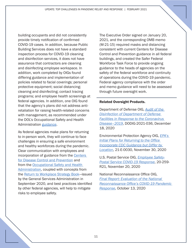building occupants and did not consistently provide timely notification of confirmed COVID-19 cases. In addition, because Public Building Services does not have a standard inspection process for COVID-19 cleaning and disinfection services, it does not have assurance that contractors are cleaning and disinfecting employee workspace. In addition, work completed by OIGs found differing guidance and implementation of policies related to facial coverings; personal protective equipment; social distancing; cleaning and disinfecting; contact tracing programs; and employee health screenings at federal agencies. In addition, one OIG found that the agency's plans did not address antiretaliation for raising health-related concerns with management, as recommended under the DOL's Occupational Safety and Health Administration [guidance](https://www.osha.gov/Publications/OSHA3990.pdf).

As federal agencies make plans for returning to in-person work, they will continue to face challenges in ensuring a safe environment and healthy workforces during the pandemic. Clear communication with employees and incorporation of guidance from the [Centers](https://www.cdc.gov/coronavirus/2019-ncov/community/workplaces-businesses/index.html)  [for Disease Control and Prevention](https://www.cdc.gov/coronavirus/2019-ncov/community/workplaces-businesses/index.html) and from the [Occupational Safety and Health](https://www.osha.gov/Publications/OSHA3990.pdf) [Administration](https://www.osha.gov/Publications/OSHA3990.pdf), coupled with concepts from the [Return to Workplace Strategy Book—](https://www.gsa.gov/cdnstatic/2020909-GSA-Strategy%20Book-20_508%20Compliant.pdf)issued by the General Services Administration in September 2020, and best practices identified by other federal agencies, will help to mitigate risks to employee safety.

The Executive Order signed on January 20, 2021, and the corresponding OMB memo (M-21-15) required masks and distancing consistent with current Centers for Disease Control and Prevention guidance in all federal buildings, and created the Safer Federal Workforce Task Force to provide ongoing guidance to the heads of agencies on the safety of the federal workforce and continuity of operations during the COIVD-19 pandemic. Federal agency compliance with the order and memo guidance will need to be assessed through future oversight work.

#### Related Oversight Products.

Department of Defense OIG, *[Audit of the](https://www.oversight.gov/sites/default/files/oig-reports/DODIG-2021-036.pdf)  Disinfection of Department of Defense [Facilities in Response to the Coronavirus](https://www.oversight.gov/sites/default/files/oig-reports/DODIG-2021-036.pdf)  [Disease–2019](https://www.oversight.gov/sites/default/files/oig-reports/DODIG-2021-036.pdf)*, DODIG-2021-036, December 18, 2020

Environmental Protection Agency OIG, *[EPA's](https://www.epa.gov/sites/production/files/2020-11/documents/_epaoig_20201130-21-e-0030-report.pdf)  Initial Plans for Returning to the Office [Incorporate CDC Guidance but Differ by](https://www.epa.gov/sites/production/files/2020-11/documents/_epaoig_20201130-21-e-0030-report.pdf)  [Location](https://www.epa.gov/sites/production/files/2020-11/documents/_epaoig_20201130-21-e-0030-report.pdf)*, 21-E-0030, November 30, 2020

U.S. Postal Service OIG, *[Employee Safety-](https://www.uspsoig.gov/sites/default/files/document-library-files/2020/20-259-R21.pdf)[Postal Service COVID-19 Response](https://www.uspsoig.gov/sites/default/files/document-library-files/2020/20-259-R21.pdf)*, 20-259- R21, November 20, 2020

National Reconnaissance Office OIG, *Final Report: Evaluation of the National [Reconnaissance Office's COVID-19 Pandemic](https://www.oversight.gov/sites/default/files/oig-reports/2020-003%20NRO%20OIG%20Pandemic%20Response%20Review%20Report.pdf)  [Response](https://www.oversight.gov/sites/default/files/oig-reports/2020-003%20NRO%20OIG%20Pandemic%20Response%20Review%20Report.pdf)*, October 13, 2020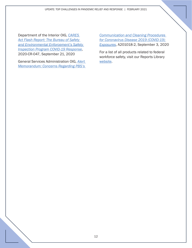UPDATE: TOP CHALLENGES IN PANDEMIC RELIEF AND RESPONSE | FEBRUARY 2021

Department of the Interior OIG, *[CARES](https://www.doioig.gov/sites/doioig.gov/files/DOIOIGCaresAct_BSEEInspectionsCOVID-19_092120.pdf)  Act Flash Report: The Bureau of Safety [and Environmental Enforcement's Safety](https://www.doioig.gov/sites/doioig.gov/files/DOIOIGCaresAct_BSEEInspectionsCOVID-19_092120.pdf) Inspection Program COVID-19 Response*, 2020-CR-047, September 21, 2020

General Services Administration OIG, *[Alert](https://www.oversight.gov/sites/default/files/oig-reports/A201018%20-2%20Final%20Alert%20Memo%20-%20COVID-19%20Communication%20and%20Cleaning.pdf)  [Memorandum: Concerns Regarding PBS's](https://www.oversight.gov/sites/default/files/oig-reports/A201018%20-2%20Final%20Alert%20Memo%20-%20COVID-19%20Communication%20and%20Cleaning.pdf)* 

*[Communication and Cleaning Procedures](https://www.oversight.gov/sites/default/files/oig-reports/A201018%20-2%20Final%20Alert%20Memo%20-%20COVID-19%20Communication%20and%20Cleaning.pdf)  for Coronavirus Disease 2019 (COVID-19) [Exposures](https://www.oversight.gov/sites/default/files/oig-reports/A201018%20-2%20Final%20Alert%20Memo%20-%20COVID-19%20Communication%20and%20Cleaning.pdf)*, A201018-2, September 3, 2020

For a list of all products related to federal workforce safety, visit our Reports Library [website.](https://www.pandemicoversight.gov/oversight/reports?f%5B0%5D=management_challenges%3AFederal%20Workforce%20Safety&f%5B1%5D=report_type_taxonomy%3A76)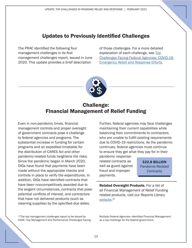## Updates to Previously Identified Challenges

<span id="page-12-0"></span>The PRAC identified the following four management challenges in its first management challenges report, issued in June 2020. This update provides a brief description

of those challenges. For a more detailed explanation of each challenge, see [Top](https://www.oversight.gov/sites/default/files/oig-reports/Top%20Challenges%20Facing%20Federal%20Agencies%20-%20COVID-19%20Emergency%20Relief%20and%20Response%20Efforts_1.pdf)  [Challenges Facing Federal Agencies: COVID-19](https://www.oversight.gov/sites/default/files/oig-reports/Top%20Challenges%20Facing%20Federal%20Agencies%20-%20COVID-19%20Emergency%20Relief%20and%20Response%20Efforts_1.pdf)  [Emergency Relief and Response Efforts.](https://www.oversight.gov/sites/default/files/oig-reports/Top%20Challenges%20Facing%20Federal%20Agencies%20-%20COVID-19%20Emergency%20Relief%20and%20Response%20Efforts_1.pdf)



### Challenge: Financial Management of Relief Funding

Even in non-pandemic times, financial management controls and proper oversight of government contracts pose a challenge to federal agencies and programs. The substantial increase in funding for certain programs and an expedited timetable for the distribution of CARES Act and other pandemic-related funds heightens the risks. Since the pandemic began in March 2020, OIGs have found that payments have been made without the appropriate checks and controls in place to verify the expenditures. In addition, OIGs have identified contracts that have been noncompetitively awarded due to the exigent circumstances, contracts that pose potential conflicts of interest, and contractors that have not delivered products (such as cleaning supplies) by the specified due dates.

Further, federal agencies may face challenges maintaining their current capabilities while balancing their commitments to contractors who are unable to fulfill existing requirements due to COVID-19 restrictions. As the pandemic continues, federal agencies must continue to ensure they get what they pay for in their

pandemic responserelated contracts as well as guard against fraud and improper payments.

**\$22.8 BILLION** Pandemic-Related **Contracts** 

**Related Oversight Products.** For a list of all Financial Management of Relief Funding related products, visit our Reports Library [website](https://www.pandemicoversight.gov/oversight/reports?f%5B0%5D=management_challenges%3AFinancial%20Management%20of%20Relief%20Funding&f%5B1%5D=report_type_taxonomy%3A76). 10

<sup>10</sup> The top management challenges report to be issued by CIGIE—Top Management and Performance Challenges Facing

Multiple Federal Agencies—identified Financial Management as a top challenge for the federal government.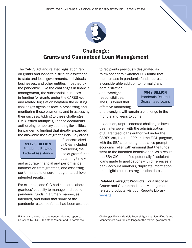

# <span id="page-13-0"></span>Challenge: Grants and Guaranteed Loan Management

The CARES Act and related legislation rely on grants and loans to distribute assistance to state and local governments, individuals, businesses, and other entities impacted by the pandemic. Like the challenges in financial management, the substantial increases in funding for grants under the CARES Act and related legislation heighten the existing challenges agencies face in processing and monitoring these payments, and in assessing their success. Adding to these challenges, OMB issued multiple guidance documents authorizing temporary spending flexibilities for pandemic funding that greatly expanded the allowable uses of grant funds. Key areas

**\$117.9 BILLION** Pandemic-Related Federal Assistance of concern cited by OIGs included overseeing the use of grant funds, obtaining timely

and accurate financial and performance information from grantees, and assessing performance to ensure that grants achieve intended results.

For example, one OIG had concerns about grantees' capacity to manage and spend pandemic funds in a timely manner, as intended, and found that some of the pandemic response funds had been awarded to recipients previously designated as "slow spenders." Another OIG found that the increase in pandemic funds represents a considerable addition to normal grant

administration and oversight responsibilities. The OIG found that effective monitoring

\$548 BILLION Pandemic-Related Guaranteed Loans

and oversight will remain a challenge in the months and years to come.

In addition, unprecedented challenges have been interwoven with the administration of guaranteed loans authorized under the CARES Act, like the PPP and the EIDL program, with the SBA attempting to balance prompt economic relief with ensuring that the funds went to the intended beneficiaries. As a result, the SBA OIG identified potentially fraudulent loans made to applications with differences in bank account numbers, duplicate information, or ineligible business registration dates.

**Related Oversight Products.** For a list of all Grants and Guaranteed Loan Management related products, visit our Reports Library <u>website</u>.11

<sup>11</sup> Similarly, the top management challenges report to be issued by CIGIE—Top Management and Performance

Challenges Facing Multiple Federal Agencies—identified Grant Management as a top challenge for the federal government.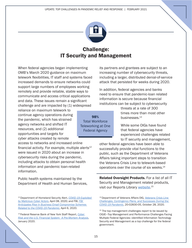

# Challenge: IT Security and Management

98% Total Workforce Teleworking at One Federal Agency

<span id="page-14-0"></span>When federal agencies began implementing OMB's March 2020 guidance on maximum telework flexibilities, IT staff and systems faced increased demands to ensure networks could support large numbers of employees working remotely and provide reliable, stable ways to communicate and access critical applications and data. These issues remain a significant challenge and are impacted by (1) widespread

reliance on maximum telework to continue agency operations during the pandemic, which has strained agency networks and shifted IT resources, and (2) additional opportunities and targets for cyber attacks created by remote

access to networks and increased online financial activity. For example, multiple alerts $12$ were issued in 2020 about an increase in cybersecurity risks during the pandemic, including attacks to obtain personal health information and pandemic loan-related information.

Public health systems maintained by the Department of Health and Human Services, its partners and grantees are subject to an increasing number of cybersecurity threats, including a larger, distributed denial-of-service attack that persisted for weeks during 2020.

In addition, federal agencies and banks need to ensure that pandemic-loan related information is secure because financial institutions can be subject to cybersecurity

> threats at a rate of 300 times more than most other businesses.<sup>13</sup>

While some OIGs have found that federal agencies have experienced challenges related to IT security and management,

other federal agencies have been able to successfully provide vital functions to the public, such as the Department of Veterans Affairs taking important steps to transition the Veterans Crisis Line to telework-based operations over the course of six weeks.<sup>14</sup>

Related Oversight Products. For a list of all IT Security and Management related products, visit our Reports Library [website.](https://www.pandemicoversight.gov/oversight/reports?f%5B0%5D=management_challenges%3AIT%20Management%20and%20Security&f%5B1%5D=report_type_taxonomy%3A76)<sup>15</sup>

<sup>12</sup> Department of Homeland Security Alert, *[COVID-19 Exploited](https://us-cert.cisa.gov/ncas/alerts/aa20-099a)  [by Malicious Cyber Actors](https://us-cert.cisa.gov/ncas/alerts/aa20-099a)*, April 08, 2020; and FBI, *[FBI](https://www.fbi.gov/news/pressrel/press-releases/fbi-anticipates-rise-in-business-email-compromise-schemes-related-to-the-covid-19-pandemic)  [Anticipates Rise in Business Email Compromise Schemes](https://www.fbi.gov/news/pressrel/press-releases/fbi-anticipates-rise-in-business-email-compromise-schemes-related-to-the-covid-19-pandemic)  [Related to the COVID-19 Pandemic](https://www.fbi.gov/news/pressrel/press-releases/fbi-anticipates-rise-in-business-email-compromise-schemes-related-to-the-covid-19-pandemic)*, April 6, 2020.

<sup>13</sup> Federal Reserve Bank of New York Staff Report, *[Cyber](https://www.newyorkfed.org/medialibrary/media/research/staff_reports/sr909.pdf)  [Risk and the U.S. Financial System: A Pre-Mortem Analysis](https://www.newyorkfed.org/medialibrary/media/research/staff_reports/sr909.pdf)*, January 2020.

<sup>14</sup> Department of Veterans Affairs OIG, *[Veterans Crisis Line](https://www.va.gov/oig/pubs/VAOIG-20-02830-05.pdf) [Challenges, Contingency Plans, and Successes During the](https://www.va.gov/oig/pubs/VAOIG-20-02830-05.pdf)  [COVID-19 Pandemic](https://www.va.gov/oig/pubs/VAOIG-20-02830-05.pdf)*, 20-02830-05, October 28, 2020.

<sup>&</sup>lt;sup>15</sup> The top management challenges report to be issued by CIGIE—Top Management and Performance Challenges Facing Multiple Federal Agencies—identified Information Technology Security and Management as a top challenge for the federal government.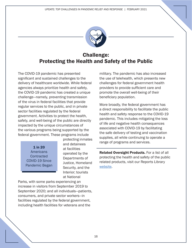

# <span id="page-15-0"></span>Challenge: Protecting the Health and Safety of the Public

The COVID-19 pandemic has presented significant and sustained challenges to the delivery of healthcare worldwide. While federal agencies always prioritize health and safety, the COVID-19 pandemic has created a unique challenge—namely, preventing transmission of the virus in federal facilities that provide regular services to the public, and in private sector facilities regulated by the federal government. Activities to protect the health, safety, and well-being of the public are directly impacted by the unique circumstances of the various programs being supported by the federal government. These programs include

> 1 in 20 **Americans Contracted** COVID-19 Since Pandemic Began

protecting inmates and detainees at facilities operated by the Departments of Justice, Homeland Security, and the Interior; tourists at National

Parks, with some parks experiencing an increase in visitors from September 2019 to September 2020; and all individuals—patients, consumers, and private sector workers—in facilities regulated by the federal government, including health facilities for veterans and the

military. The pandemic has also increased the use of telehealth, which presents new challenges for federal government health providers to provide sufficient care and promote the overall well-being of their beneficiary population.

More broadly, the federal government has a direct responsibility to facilitate the public health and safety response to the COVID-19 pandemic. This includes mitigating the loss of life and negative health consequences associated with COVID-19 by facilitating the safe delivery of testing and vaccination supplies, all while continuing to operate a range of programs and services.

**Related Oversight Products.** For a list of all protecting the health and safety of the public related products, visit our Reports Library [website.](https://www.pandemicoversight.gov/oversight/reports?f%5B0%5D=management_challenges%3AProtecting%20Health%20and%20Safety&f%5B1%5D=report_type_taxonomy%3A76)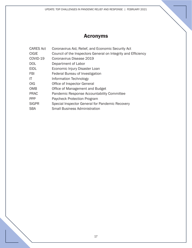# Acronyms

<span id="page-16-0"></span>

| <b>CARES Act</b> | Coronavirus Aid, Relief, and Economic Security Act            |
|------------------|---------------------------------------------------------------|
| <b>CIGIE</b>     | Council of the Inspectors General on Integrity and Efficiency |
| COVID-19         | Coronavirus Disease 2019                                      |
| <b>DOL</b>       | Department of Labor                                           |
| <b>EIDL</b>      | Economic Injury Disaster Loan                                 |
| <b>FBI</b>       | Federal Bureau of Investigation                               |
| ΙT               | Information Technology                                        |
| OIG              | Office of Inspector General                                   |
| <b>OMB</b>       | Office of Management and Budget                               |
| <b>PRAC</b>      | Pandemic Response Accountability Committee                    |
| <b>PPP</b>       | <b>Paycheck Protection Program</b>                            |
| <b>SIGPR</b>     | Special Inspector General for Pandemic Recovery               |
| <b>SBA</b>       | <b>Small Business Administration</b>                          |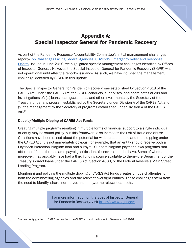## <span id="page-17-0"></span>Appendix A: Special Inspector General for Pandemic Recovery

As part of the Pandemic Response Accountability Committee's initial management challenges report[—Top Challenges Facing Federal Agencies: COVID-19 Emergency Relief and Response](https://www.oversight.gov/sites/default/files/oig-reports/Top%20Challenges%20Facing%20Federal%20Agencies%20-%20COVID-19%20Emergency%20Relief%20and%20Response%20Efforts_1.pdf)  [Efforts](https://www.oversight.gov/sites/default/files/oig-reports/Top%20Challenges%20Facing%20Federal%20Agencies%20-%20COVID-19%20Emergency%20Relief%20and%20Response%20Efforts_1.pdf)—issued in June 2020, we highlighted specific management challenges identified by Offices of Inspector General. However, the Special Inspector General for Pandemic Recovery (SIGPR) was not operational until after the report's issuance. As such, we have included the management challenge identified by SIGPR in this update.

The Special Inspector General for Pandemic Recovery was established by Section 4018 of the CARES Act. Under the CARES Act, the SIGPR conducts, supervises, and coordinates audits and investigations of: (1) loans, loan guarantees, and other investments by the Secretary of the Treasury under any program established by the Secretary under Division A of the CARES Act and (2) the management by the Secretary of programs established under Division A of the CARES  $Act.<sup>16</sup>$ 

#### Double/Multiple Dipping of CARES Act Funds

Creating multiple programs resulting in multiple forms of financial support to a single individual or entity may be sound policy, but this framework also increases the risk of fraud and abuse. Questions have been raised about the potential for widespread double and triple dipping under the CARES Act. It is not immediately obvious, for example, that an entity should receive both a Paycheck Protection Program loan and a Payroll Support Program payment—two programs that offer relief funds for the same payroll justification. Yet several entities have. Some of whom, moreover, may arguably have had a third funding source available to them—the Department of the Treasury's direct loans under the CARES Act, Section 4003, or the Federal Reserve's Main Street Lending Program.

Monitoring and policing the multiple dipping of CARES Act funds creates unique challenges for both the administering agencies and the relevant oversight entities. These challenges stem from the need to identify, share, normalize, and analyze the relevant datasets.

> For more information on the Special Inspector General for Pandemic Recovery, visit [https://www.sigpr.gov/.](https://www.sigpr.gov/)

<sup>16</sup> All authority granted to SIGPR comes from the CARES Act and the Inspector General Act of 1978.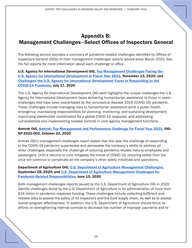### <span id="page-18-0"></span>Appendix B: Management Challenges-Select Offices of Inspectors General

The following section provides a summary of pandemic-related challenges identified by Offices of Inspectors General (OIGs) in their management challenges reports issued since March 2020. See the full reports for more information about each challenge or office.

#### U.S. Agency for International Development OIG, Top Management Challenges Facing the U.S. Agency for International Development in Fiscal Year 2021, November 13, 2020; and Challenges the U.S. Agency for International Development Faces in Responding to the [COVID-19 Pandemic](https://oig.usaid.gov/sites/default/files/2020-09/COVID-19%20Emergency%20Relief%20and%20Response%20Efforts%20from%20Top%20Challenges%20Facing%20Federal%20Agencies.pdf), July 17, 2020

The U.S. Agency for International Development OIG work highlights the unique challenges the U.S. Agency for International Development faces delivering humanitarian assistance to those in need challenges that have been exacerbated by the coronavirus disease 2019 (COVID-19) pandemic. These challenges include managing risks to humanitarian assistance amid a public health emergency; maintaining responsibilities for planning, monitoring, and sustaining development; maximizing stakeholder coordination for a global COVID-19 response; and addressing vulnerabilities and implementing needed controls in core agency management functions.

#### Amtrak OIG, Amtrak: Top Management and Performance Challenge for Fiscal Year 2021, OIG-SP-2021-002, October 23, 2020

Amtrak OIG's management challenges report stated that this year the challenge of responding to the COVID-19 pandemic supersedes and permeates the company's ability to address all other challenges, especially the challenge of reducing pandemic-related risks to employees and passengers. Until a vaccine or cure mitigates the threat of COVID-19, ensuring safety from the virus will continue to complicate all the company's other safety initiatives and operations.

#### Department of Agriculture OIG, U.S. Department of Agriculture Management Challenges, September 28, 2020; and U.S. Department of Agriculture Management Challenges for [Pandemic-Related Responsibilities](https://origin.www.usda.gov/webdocs/Pandemic-Related_MC.pdf), June 15, 2020

Both management challenges reports issued by the U.S. Department of Agriculture OIG in 2020 identify challenges faced by the U.S. Department of Agriculture in its administration of more than \$34 billion in pandemic response funding. These challenges include collecting sufficient and reliable data to assess the safety of its inspectors and the food supply chain, as well as to assess overall program effectiveness. In addition, the U.S. Department of Agriculture should focus its efforts on strengthening internal controls to decrease the number of improper payments and to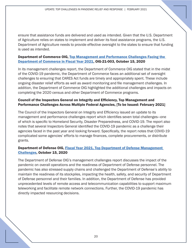ensure that assistance funds are delivered and used as intended. Given that the U.S. Department of Agriculture relies on states to implement and deliver its food assistance programs, the U.S. Department of Agriculture needs to provide effective oversight to the states to ensure that funding is used as intended.

#### Department of Commerce OIG, Top Management and Performance Challenges Facing the Department of Commerce in Fiscal Year 2021, OIG-21-003, October 15, 2020

In its management challenges report, the Department of Commerce OIG stated that in the midst of the COVID-19 pandemic, the Department of Commerce faces an additional set of oversight challenges to ensuring that CARES Act funds are timely and appropriately spent. These include ongoing disaster relief efforts as well as award monitoring and file management challenges. In addition, the Department of Commerce OIG highlighted the additional challenges and impacts on completing the 2020 census and other Department of Commerce programs.

#### Council of the Inspectors General on Integrity and Efficiency, Top Management and Performance Challenges Across Multiple Federal Agencies, [To be Issued: February 2021]

The Council of the Inspectors General on Integrity and Efficiency issued an update to its management and performance challenges report which identifies seven total challenges—one of which is specific to Homeland Security, Disaster Preparedness, and COVID-19. The report also notes that several Inspectors General identified the COVID-19 pandemic as a challenge their agencies faced in the past year and looking forward. Specifically, the report notes that COVID-19 complicated some agencies' efforts to manage finances, complete procurements, or distribute grants.

#### Department of Defense OIG, Fiscal Year 2021, Top Department of Defense Management [Challenges](https://www.oversight.gov/sites/default/files/oig-reports/Top%20DOD%20Management%20Challenges%20Fiscal%20Year%202021.pdf), October 15, 2020

The Department of Defense OIG's management challenges report discusses the impact of the pandemic on overall operations and the readiness of Department of Defense personnel. The pandemic has also stressed supply chains and challenged the Department of Defense's ability to maintain the readiness of its stockpiles, impacting the health, safety, and security of Department of Defense personnel and their families. In addition, the Department of Defense has provided unprecedented levels of remote access and telecommunication capabilities to support maximum teleworking and facilitate remote network connections. Further, the COVID-19 pandemic has directly impacted resourcing decisions.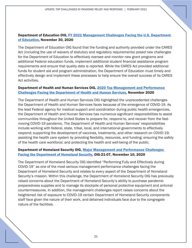#### Department of Education OIG, FY 2021 Management Challenges Facing the U.S. Department [of Education](https://www2.ed.gov/about/offices/list/oig/misc/mgmtchall2021.pdf), November 30, 2020

The Department of Education OIG found that the funding and authority provided under the CARES Act (including the use of waivers of statutory and regulatory requirements) posed new challenges for the Department of Education to effectively oversee and monitor new grant programs and additional Federal education funds, implement additional student financial assistance program requirements and ensure that quality data is reported. While the CARES Act provided additional funds for student aid and program administration, the Department of Education must timely and effectively design and implement these processes to help ensure the overall success of its CARES Act activities.

#### Department of Health and Human Services OIG, 2020 Top Management and Performance [Challenges Facing the Department of Health and Human Services](https://www.oig.hhs.gov/reports-and-publications/top-challenges/2020/2020-tmc.pdf#page=7), November 2020

The Department of Health and Human Services OIG highlighted the unprecedented challenges the Department of Health and Human Services faces because of the emergence of COVID-19. As the lead Federal agency for medical support and coordination during public health emergencies, the Department of Health and Human Services has numerous significant responsibilities to assist communities throughout the United States to prepare for, respond to, and recover from the fastmoving COVID-19 pandemic. The Department of Health and Human Services' responsibilities include working with federal, state, tribal, local, and international governments to effectively respond; supporting the development of vaccines, treatments, and other research on COVID-19; assisting the health care system by providing flexibility, resources, and funding; ensuring the safety of the health care workforce; and protecting the health and well-being of the public.

#### Department of Homeland Security OIG, Major Management and Performance Challenges [Facing the Department of Homeland Security](https://www.oig.dhs.gov/sites/default/files/assets/2020-11/OIG-21-07-Nov20.pdf), OIG-21-07, November 10, 2020

The Department of Homeland Security OIG identified "Performing Fully and Effectively during COVID-19" as one of the most serious management performance challenges facing the Department of Homeland Security and relates to every aspect of the Department of Homeland Security's mission. Within this challenge, the Department of Homeland Security OIG has previously raised concerns about the Department of Homeland Security's ability to purchase pandemic preparedness supplies and to manage its stockpile of personal protective equipment and antiviral countermeasures. In addition, the management challenges report raises concerns about the heightened risk of exposure to COVID-19 certain Department of Homeland Security components staff face given the nature of their work, and detained individuals face due to the congregate nature of the facilities.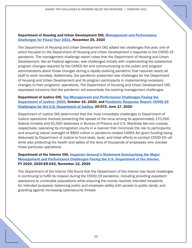#### Department of Housing and Urban Development OIG, Management and Performance Challenges for Fiscal Year 2021, November 25, 2020

The Department of Housing and Urban Development OIG added two challenges this year, one of which focused on the Department of Housing and Urban Development's response to the COVID-19 pandemic. The management challenge report notes that the Department of Housing and Urban Development, like all Federal agencies, was challenged initially with implementing the substantial program changes required by the CARES Act and communicating to the public and program administrators about those changes during a rapidly evolving pandemic that required nearly all staff to work remotely. Additionally, the pandemic presented new challenges for the Department of Housing and Urban Development and its program participants in implementing necessary changes to their programs' operations. The Department of Housing and Urban Development OIG expressed concerns that the pandemic will exacerbate the existing management challenges.

#### Department of Justice OIG, Top Management and Performance Challenges Facing the Department of Justice–2020, October 16, 2020; and Pandemic Response Report: COVID-19 Challenges for the U.S. Department of Justice, 20-072, June 17, 2020

Department of Justice OIG determined that the most immediate challenges to Department of Justice operations involved preventing the spread of the virus among its approximately 170,000 federal inmates and 61,000 detainees in Bureau of Prisons and U.S. Marshals Service custody, respectively; operating its immigration courts in a manner that minimizes the risk to participants; and ensuring robust oversight of \$850 million in pandemic-related CARES Act grant funding being disbursed by Department of Justice to fund state, local, and tribal efforts to combat COVID-19—all while also protecting the health and safety of the tens of thousands of employees who oversee these particular operations.

#### Department of the Interior OIG, Inspector General's Statement Summarizing the Major Management and Performance Challenges Facing the U.S. Department of the Interior, FY 2020, 2020-ER-043, November 12, 2020

The Department of the Interior OIG found that the Department of the Interior has faced challenges in continuing to fulfill its mission during the COVID-19 pandemic, including providing expedient assistance to vulnerable populations while ensuring the money reaches intended recipients for intended purposes; balancing public and employee safety with access to public lands; and guarding against increasing cybersecurity threats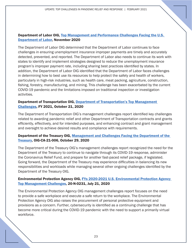#### Department of Labor OIG, Top Management and Performance Challenges Facing the U.S. [Department of Labor](https://www.oig.dol.gov/public/DOL%202020%20Top%20Management%20and%20Performance%20Challenges.pdf), November 2020

The Department of Labor OIG determined that the Department of Labor continues to face challenges in ensuring unemployment insurance improper payments are timely and accurately detected, prevented, and reported. The Department of Labor also needs to continue its work with states to identify and implement strategies designed to reduce the unemployment insurance program's improper payment rate, including sharing best practices identified by states. In addition, the Department of Labor OIG identified that the Department of Labor faces challenges in determining how to best use its resources to help protect the safety and health of workers, particularly in high-risk industries, such as health care, meat packing, agriculture, construction, fishing, forestry, manufacturing, and mining. This challenge has been exacerbated by the current COVID-19 pandemic and the limitations imposed on traditional inspection or investigation activities.

#### Department of Transportation OIG, Department of Transportation's Top Management **[Challenges](https://www.oig.dot.gov/sites/default/files/DOT%20FY%202021%20Top%20Management%20Challenges.pdf), FY 2021, October 21, 2020**

The Department of Transportation OIG's management challenges report identified key challenges related to awarding pandemic relief and other Department of Transportation contracts and grants efficiently, effectively, and for intended purposes, and enhancing contract and grant management and oversight to achieve desired results and compliance with requirements.

#### Department of the Treasury OIG, Management and Challenges Facing the Department of the [Treasury](https://www.oversight.gov/sites/default/files/oig-reports/OIG-CA-21-006.pdf), OIG-CA-21-006, October 29, 2020

The Department of the Treasury OIG's management challenges report recognized the need for the Department of the Treasury to continue to navigate through its COVID-19 response, administer the Coronavirus Relief Fund, and prepare for another fast-paced relief package, if legislated. Going forward, the Department of the Treasury may experience difficulties in balancing its new responsibilities and workloads while managing several other ongoing challenges identified by the Department of the Treasury OIG.

#### Environmental Protection Agency OIG, FYs 2020-2021 U.S. Environmental Protection Agency [Top Management Challenges](https://www.epa.gov/sites/production/files/2020-07/documents/_epaoig_20200721-20-n-0231_0.pdf), 20-N-0231, July 21, 2020

The Environmental Protection Agency OIG management challenges report focuses on the need to provide a safe workplace and execute a safe return to the workplace. The Environmental Protection Agency OIG also raises the procurement of personal protective equipment and provisions as a concern. Further, cybersecurity is identified as a continuing challenge that has become more critical during the COVID-19 pandemic with the need to support a primarily virtual workforce.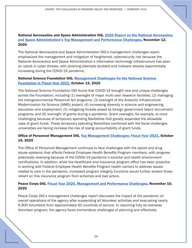#### National Aeronautics and Space Administration OIG, 2020 Report on the National Aeronautics [and Space Administration's Top Management and Performance Challenges](https://www.oversight.gov/sites/default/files/oig-reports/MC-2020.pdf), November 12, 2020

The National Aeronautics and Space Administration OIG's management challenges report emphasized the management and mitigation of heightened, cybersecurity risk because the National Aeronautics and Space Administration's information technology infrastructure has seen an uptick in cyber threats, with phishing attempts doubled and malware attacks exponentially increasing during the COVID-19 pandemic.

#### National Science Foundation OIG, [Management Challenges for the National Science](https://www.oversight.gov/sites/default/files/oig-reports/NSF_Management_Challenges_FY2021.pdf) Foundation in Fiscal Year 2021, October 15, 2020

The National Science Foundation OIG found that COVID-19 brought new and unique challenges across the Foundation, including (1) oversight of major multi-user research facilities; (2) managing the Intergovernmental Personnel Act programs; (3) oversight of the Antarctic Infrastructure Modernization for Science (AIMS) project; (4) increasing diversity in science and engineering education and employment; (5) mitigating threats posed by foreign government talent recruitment programs; and (6) oversight of grants during a pandemic. Grant oversight, for example, is more challenging because of temporary spending flexibilities that greatly expanded the allowable uses of grant funds. These temporary spending flexibilities combined with the fiscal challenges universities are facing increase the risk of losing accountability of grant funds.

#### Office of Personnel Management OIG, Top Management Challenges: Fiscal Year 2021, October 16, 2020

The Office of Personnel Management continues to face challenges with the opioid and drug abuse epidemic that affects Federal Employee Health Benefits Program members, with progress potentially reversing because of the COVID-19 pandemic's societal and health environment ramifications. In addition, while the Healthcare and Insurance program office has been proactive in working with Federal Employee Health Benefits Program health carriers to address issues related to care in the pandemic, increased program integrity functions would further protect those reliant on this insurance program from schemes and bad actors.

#### Peace Corps OIG, Fiscal Year 2020, Management and Performance Challenges, November 10, 2020

Peace Corps OIG's management challenges report discusses the impact of the pandemic on overall operations of the agency after suspending all Volunteer activities and evacuating nearly 6,900 Volunteers from approximately 60 countries of service. In resuming fully its overseas Volunteer program, the agency faces tremendous challenges of planning and effectively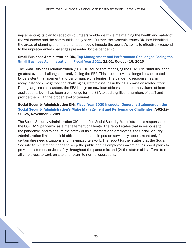implementing its plan to redeploy Volunteers worldwide while maintaining the health and safety of the Volunteers and the communities they serve. Further, the systemic issues OIG has identified in the areas of planning and implementation could impede the agency's ability to effectively respond to the unprecedented challenges presented by the pandemic.

#### Small Business Administration OIG, Top Management and Performance Challenges Facing the Small Business Administration in Fiscal Year 2021, 21-01, October 16, 2020

The Small Business Administration (SBA) OIG found that managing the COVID-19 stimulus is the greatest overall challenge currently facing the SBA. This crucial new challenge is exacerbated by persistent management and performance challenges. The pandemic response has, in many instances, magnified the challenging systemic issues in the SBA's mission-related work. During large-scale disasters, the SBA brings on new loan officers to match the volume of loan applications, but it has been a challenge for the SBA to add significant numbers of staff and provide them with the proper level of training.

#### Social Security Administration OIG, Fiscal Year 2020 Inspector General's Statement on the [Social Security Administration's Major Management and Performance Challenges](https://oig.ssa.gov/sites/default/files/audit/full/pdf/A-02-19-50825.pdf), A-02-19-50825, November 6, 2020

The Social Security Administration OIG identified Social Security Administration's response to the COVID-19 pandemic as a management challenge. The report states that in response to the pandemic, and to ensure the safety of its customers and employees, the Social Security Administration limited its field office operations to in-person service by appointment only for certain dire need situations and maximized telework. The report further states that the Social Security Administration needs to keep the public and its employees aware of: (1) how it plans to provide customer service safely throughout the pandemic; and (2) the status of its efforts to return all employees to work on-site and return to normal operations.